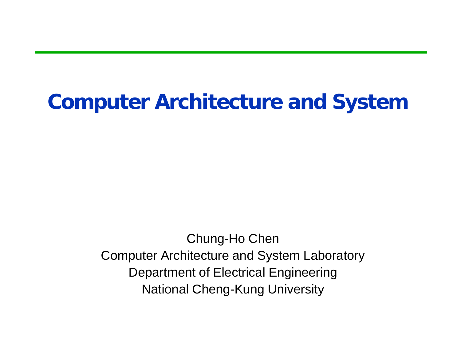### **Computer Architecture and System**

Chung-Ho Chen Computer Architecture and System Laboratory Department of Electrical Engineering National Cheng-Kung University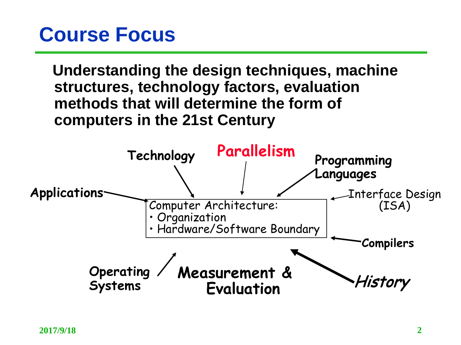#### **Course Focus**

**Understanding the design techniques, machine structures, technology factors, evaluation methods that will determine the form of computers in the 21st Century**

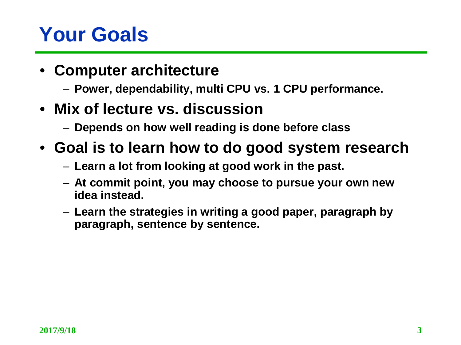## **Your Goals**

- **Computer architecture**
	- **Power, dependability, multi CPU vs. 1 CPU performance.**
- **Mix of lecture vs. discussion**
	- **Depends on how well reading is done before class**
- **Goal is to learn how to do good system research**
	- **Learn a lot from looking at good work in the past.**
	- **At commit point, you may choose to pursue your own new idea instead.**
	- **Learn the strategies in writing a good paper, paragraph by paragraph, sentence by sentence.**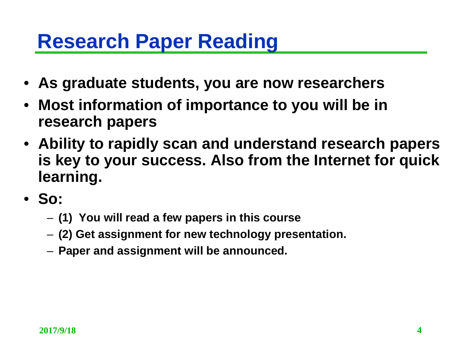#### **Research Paper Reading**

- **As graduate students, you are now researchers**
- **Most information of importance to you will be in research papers**
- **Ability to rapidly scan and understand research papers is key to your success. Also from the Internet for quick learning.**
- **So:**
	- **(1) You will read a few papers in this course**
	- **(2) Get assignment for new technology presentation.**
	- **Paper and assignment will be announced.**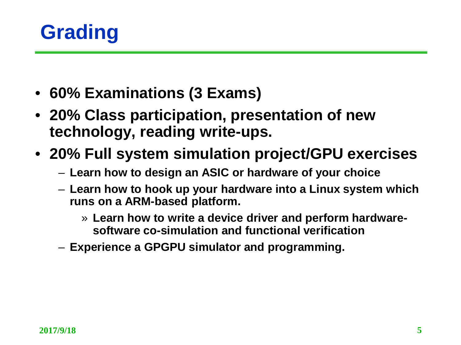

- **60% Examinations (3 Exams)**
- **20% Class participation, presentation of new technology, reading write-ups.**
- **20% Full system simulation project/GPU exercises**
	- **Learn how to design an ASIC or hardware of your choice**
	- **Learn how to hook up your hardware into a Linux system which runs on a ARM-based platform.**
		- » **Learn how to write a device driver and perform hardwaresoftware co-simulation and functional verification**
	- **Experience a GPGPU simulator and programming.**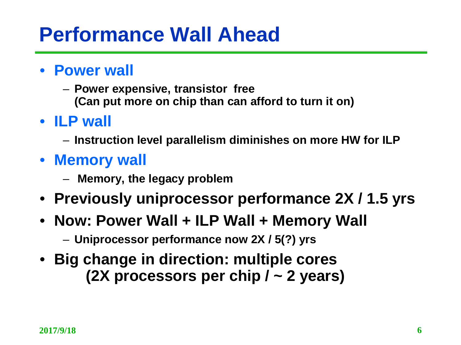### **Performance Wall Ahead**

- **Power wall**
	- **Power expensive, transistor free (Can put more on chip than can afford to turn it on)**
- **ILP wall**
	- **Instruction level parallelism diminishes on more HW for ILP**
- **Memory wall**
	- **Memory, the legacy problem**
- **Previously uniprocessor performance 2X / 1.5 yrs**
- **Now: Power Wall + ILP Wall + Memory Wall**
	- **Uniprocessor performance now 2X / 5(?) yrs**
- **Big change in direction: multiple cores (2X processors per chip / ~ 2 years)**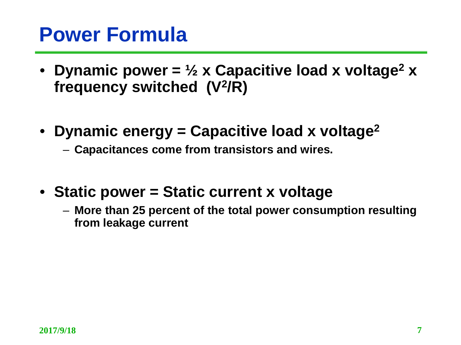#### **Power Formula**

- Dynamic power =  $\frac{1}{2}$  x Capacitive load x voltage<sup>2</sup> x **frequency switched (V2/R)**
- **Dynamic energy = Capacitive load x voltage2**
	- **Capacitances come from transistors and wires.**
- **Static power = Static current x voltage**
	- **More than 25 percent of the total power consumption resulting from leakage current**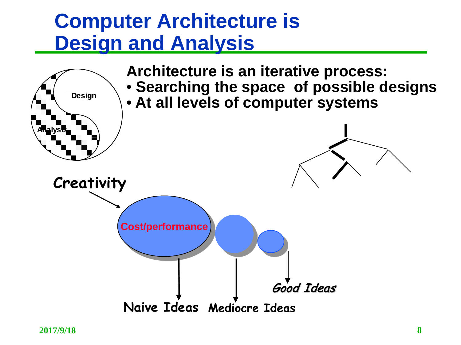#### **Computer Architecture is Design and Analysis**

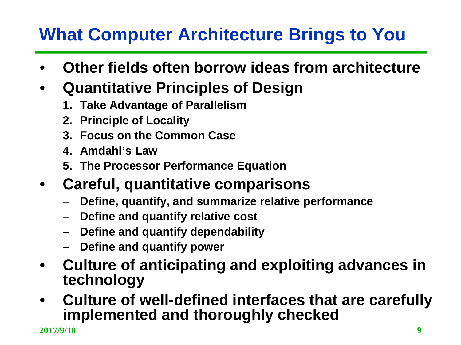#### **What Computer Architecture Brings to You**

- **Other fields often borrow ideas from architecture**
- **Quantitative Principles of Design**
	- **1. Take Advantage of Parallelism**
	- **2. Principle of Locality**
	- **3. Focus on the Common Case**
	- **4. Amdahl's Law**
	- **5. The Processor Performance Equation**
- **Careful, quantitative comparisons**
	- **Define, quantify, and summarize relative performance**
	- **Define and quantify relative cost**
	- **Define and quantify dependability**
	- **Define and quantify power**
- **Culture of anticipating and exploiting advances in technology**
- **Culture of well-defined interfaces that are carefully implemented and thoroughly checked**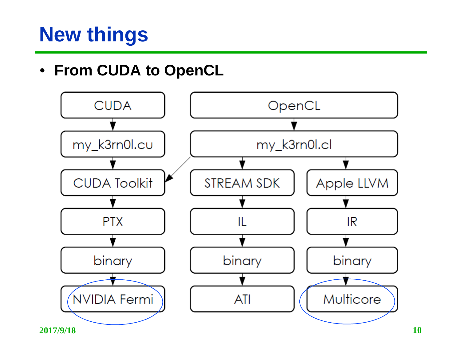## **New things**

#### • **From CUDA to OpenCL**

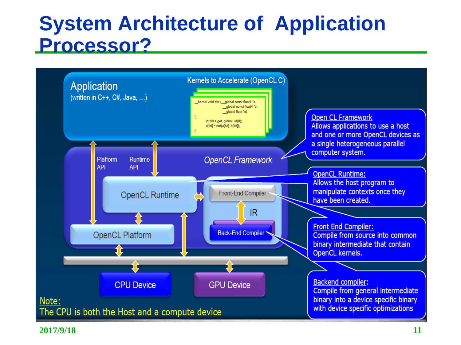#### **System Architecture of Application Processor?**



**2017/9/18 11**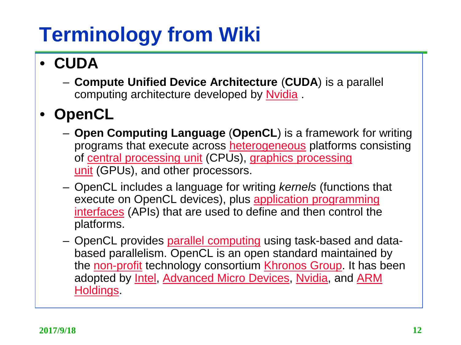# **Terminology from Wiki**

- **CUDA** 
	- **Compute Unified Device Architecture** (**CUDA**) is a parallel computing architecture developed by [Nvidia](http://en.wikipedia.org/wiki/Nvidia).

#### • **OpenCL**

- **Open Computing Language** (**OpenCL**) is a framework for writing programs that execute across **[heterogeneous](http://en.wikipedia.org/wiki/Heterogeneous_computing)** platforms consisting of [central processing unit](http://en.wikipedia.org/wiki/Central_processing_unit) (CPUs), graphics processing unit (GPUs), and other processors.
- OpenCL includes a language for writing *kernels* (functions that execute on OpenCL devices), plus application programming interfaces [\(APIs\) that are used to define and then control the](http://en.wikipedia.org/wiki/Application_programming_interface) platforms.
- OpenCL provides [parallel computing](http://en.wikipedia.org/wiki/Parallel_computing) using task-based and databased parallelism. OpenCL is an open standard maintained by the [non-profit](http://en.wikipedia.org/wiki/Non-profit_organization) technology consortium [Khronos](http://en.wikipedia.org/wiki/Khronos_Group) Group. It has been adopted by [Intel](http://en.wikipedia.org/wiki/Intel), [Advanced Micro Devices,](http://en.wikipedia.org/wiki/ARM_Holdings) [Nvidia](http://en.wikipedia.org/wiki/Nvidia), and ARM Holdings.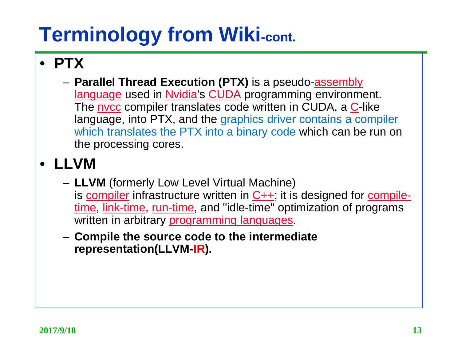# **Terminology from Wiki-cont.**

#### • **PTX**

– **[Parallel Thread Execution \(PTX\)](http://en.wikipedia.org/wiki/Assembly_language)** is a pseudo-assembly language used in [Nvidia](http://en.wikipedia.org/wiki/Nvidia)'s [CUDA](http://en.wikipedia.org/wiki/CUDA) programming environment. The nycc compiler translates code written in [C](http://en.wikipedia.org/wiki/C_(programming_language))UDA, a C-like language, into PTX, and the graphics driver contains a compiler which translates the PTX into a binary code which can be run on the processing cores.

#### • **LLVM**

- **LLVM** (formerly Low Level Virtual Machine) is [compiler](http://en.wikipedia.org/wiki/Compiler) infrastructure written in  $C++$ ; it is designed for compiletime, [link-time](http://en.wikipedia.org/wiki/Link-time), [run-time, and "idle-time" optimization of programs](http://en.wikipedia.org/wiki/Compile-time)  written in arbitrary [programming languages.](http://en.wikipedia.org/wiki/Programming_language)
- **Compile the source code to the intermediate representation(LLVM-IR).**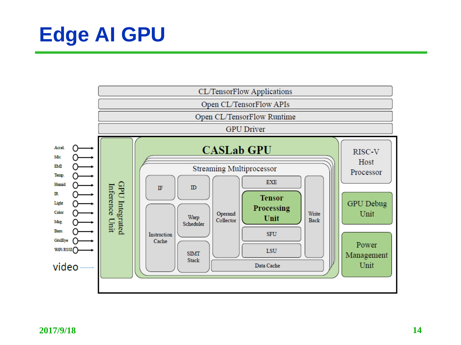# **Edge AI GPU**

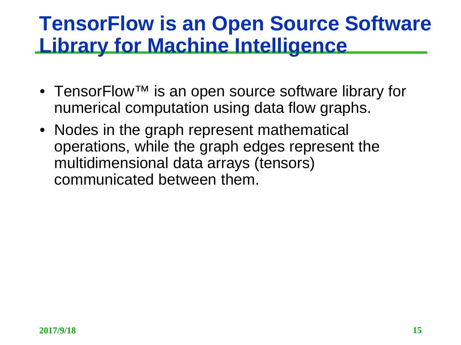#### **TensorFlow is an Open Source Software Library for Machine Intelligence**

- TensorFlow<sup>™</sup> is an open source software library for numerical computation using data flow graphs.
- Nodes in the graph represent mathematical operations, while the graph edges represent the multidimensional data arrays (tensors) communicated between them.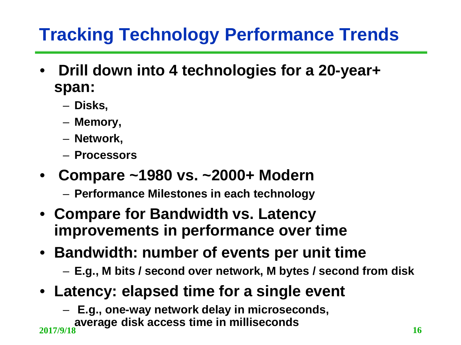#### **Tracking Technology Performance Trends**

- **Drill down into 4 technologies for a 20-year+ span:**
	- **Disks,**
	- **Memory,**
	- **Network,**
	- **Processors**
- **Compare ~1980 vs. ~2000+ Modern**
	- **Performance Milestones in each technology**
- **Compare for Bandwidth vs. Latency improvements in performance over time**
- **Bandwidth: number of events per unit time**
	- **E.g., M bits / second over network, M bytes / second from disk**
- **Latency: elapsed time for a single event**
	- **E.g., one-way network delay in microseconds,**

**average disk access time in milliseconds 2017/9/18 <sup>16</sup>**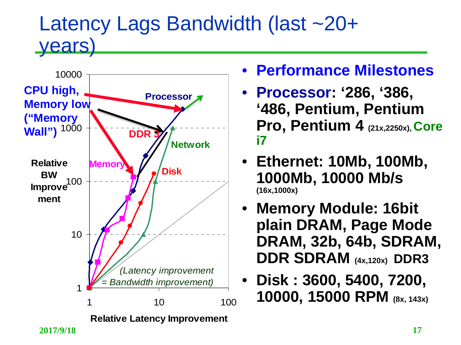#### Latency Lags Bandwidth (last ~20+ **years**



- **Performance Milestones**
- **Processor: '286, '386, '486, Pentium, Pentium Pro, Pentium 4 (21x,2250x), Core i7**
- **Ethernet: 10Mb, 100Mb, 1000Mb, 10000 Mb/s (16x,1000x)**
- **Memory Module: 16bit plain DRAM, Page Mode DRAM, 32b, 64b, SDRAM, DDR SDRAM (4x,120x) DDR3**
- **Disk : 3600, 5400, 7200, 10000, 15000 RPM (8x, 143x)**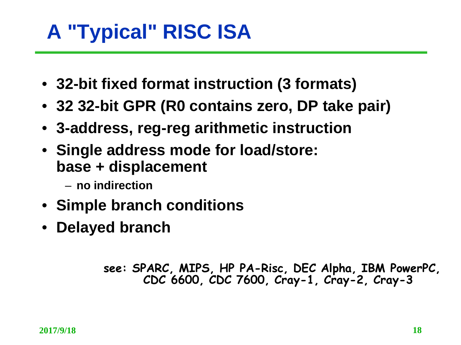## **A "Typical" RISC ISA**

- **32-bit fixed format instruction (3 formats)**
- **32 32-bit GPR (R0 contains zero, DP take pair)**
- **3-address, reg-reg arithmetic instruction**
- **Single address mode for load/store: base + displacement**
	- **no indirection**
- **Simple branch conditions**
- **Delayed branch**

**see: SPARC, MIPS, HP PA-Risc, DEC Alpha, IBM PowerPC, CDC 6600, CDC 7600, Cray-1, Cray-2, Cray-3**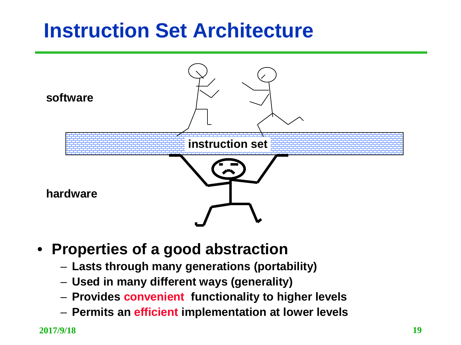### **Instruction Set Architecture**



- **Properties of a good abstraction**
	- **Lasts through many generations (portability)**
	- **Used in many different ways (generality)**
	- **Provides convenient functionality to higher levels**
	- **Permits an efficient implementation at lower levels**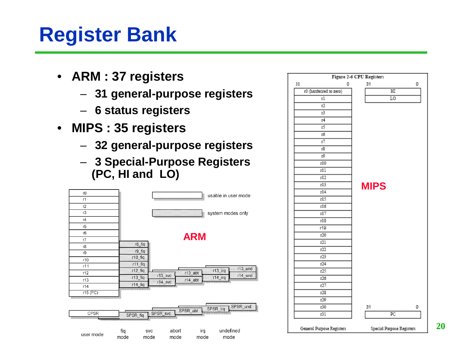## **Register Bank**

- **ARM : 37 registers**
	- **31 general-purpose registers**
	- **6 status registers**
- **MIPS : 35 registers**
	- **32 general-purpose registers**
	- **3 Special-Purpose Registers (PC, HI and LO)**



|    |                        |   | Figure 2-6 CPU Registers |                        |   |
|----|------------------------|---|--------------------------|------------------------|---|
| 31 |                        | 0 | 31                       |                        | 0 |
|    | r0 (hardwired to zero) |   |                          | $\overline{\text{HI}}$ |   |
|    | гl                     |   |                          | LO                     |   |
|    | r2                     |   |                          |                        |   |
|    | r3                     |   |                          |                        |   |
|    | 14                     |   |                          |                        |   |
|    | 15                     |   |                          |                        |   |
|    | ΙŐ                     |   |                          |                        |   |
|    | 17                     |   |                          |                        |   |
|    | r8                     |   |                          |                        |   |
|    | rŷ                     |   |                          |                        |   |
|    | r10                    |   |                          |                        |   |
|    | rll                    |   |                          |                        |   |
|    | r12                    |   |                          |                        |   |
|    | rl3                    |   | <b>MIPS</b>              |                        |   |
|    | r14                    |   |                          |                        |   |
|    | r15                    |   |                          |                        |   |
|    | rl6                    |   |                          |                        |   |
|    | r17                    |   |                          |                        |   |
|    | rl\$                   |   |                          |                        |   |
|    | r19                    |   |                          |                        |   |
|    | r20                    |   |                          |                        |   |
|    | r21                    |   |                          |                        |   |
|    | r22                    |   |                          |                        |   |
|    | r23                    |   |                          |                        |   |
|    | r24                    |   |                          |                        |   |
|    | r25                    |   |                          |                        |   |
|    | r26                    |   |                          |                        |   |
|    | r27                    |   |                          |                        |   |
|    | r28                    |   |                          |                        |   |
|    | r29                    |   |                          |                        |   |
|    | r30                    |   | 31                       |                        | 0 |
|    | r31                    |   |                          | PC                     |   |
|    |                        |   |                          |                        |   |

General Purpose Registers

Special Purpose Registers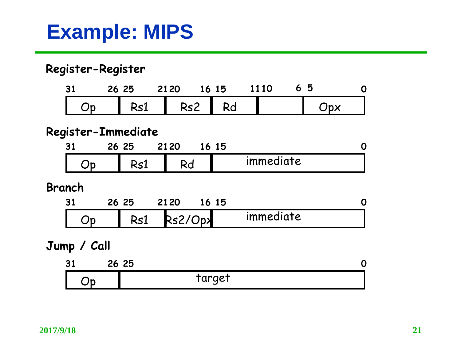### **Example: MIPS**

#### **Register-Register**

| $\ddot{\phantom{1}}$ | 26 25 | 2120 |     | 16 15 | 1110 | O |
|----------------------|-------|------|-----|-------|------|---|
|                      | c I   |      | Rs2 |       |      |   |

#### **Register-Immediate**

| 94<br>. | ŹΟ | 6Е<br>23 | 21 20 | 15 |           |  |
|---------|----|----------|-------|----|-----------|--|
| ۱۲      |    | w.       | ヽぃ    |    | immediate |  |

#### **Branch**

| $\bullet$ | 26 | 2120 |       | פ נ |           |  |
|-----------|----|------|-------|-----|-----------|--|
|           |    |      | ົ⁄ py |     | immediate |  |

#### **Jump / Call**

| $\bullet$<br>J. | 26 | った<br><b>45</b> |  |
|-----------------|----|-----------------|--|
|                 |    | taraet<br>ыı    |  |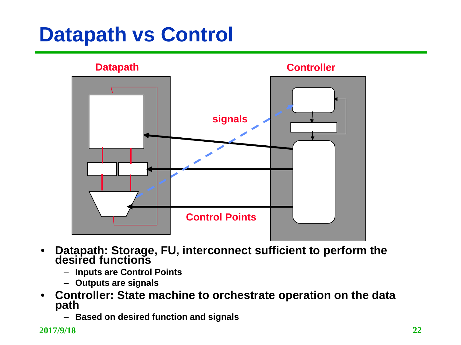## **Datapath vs Control**



- **Datapath: Storage, FU, interconnect sufficient to perform the desired functions**
	- **Inputs are Control Points**
	- **Outputs are signals**
- **Controller: State machine to orchestrate operation on the data path**
	- **Based on desired function and signals**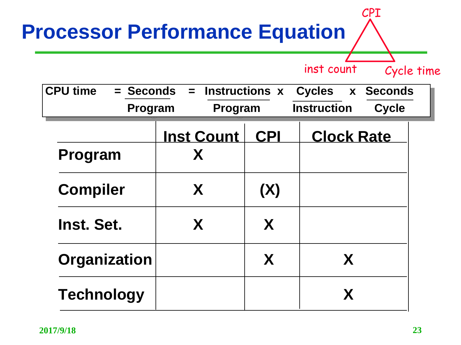| <b>Processor Performance Equation</b> |                   |                       | CPI                                |  |
|---------------------------------------|-------------------|-----------------------|------------------------------------|--|
|                                       |                   |                       | inst count<br>Cycle time           |  |
| <b>CPU time</b><br>= Seconds          | $=$               | <b>Instructions x</b> | <b>Cycles</b><br>x Seconds         |  |
| Program                               | Program           |                       | <b>Instruction</b><br><b>Cycle</b> |  |
|                                       | <b>Inst Count</b> | <b>CPI</b>            | <b>Clock Rate</b>                  |  |
| Program                               | X                 |                       |                                    |  |
| <b>Compiler</b>                       | X                 | (X)                   |                                    |  |
| Inst. Set.                            | X                 | X                     |                                    |  |
| <b>Organization</b>                   |                   | X                     | X                                  |  |
| <b>Technology</b>                     |                   |                       | X                                  |  |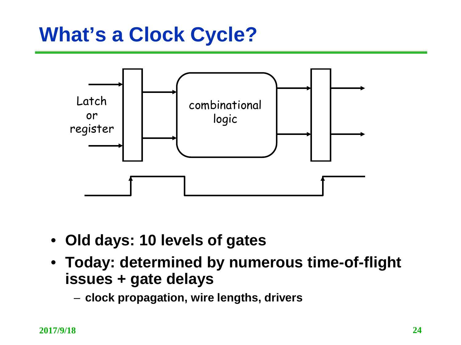### **What's a Clock Cycle?**



- **Old days: 10 levels of gates**
- **Today: determined by numerous time-of-flight issues + gate delays**
	- **clock propagation, wire lengths, drivers**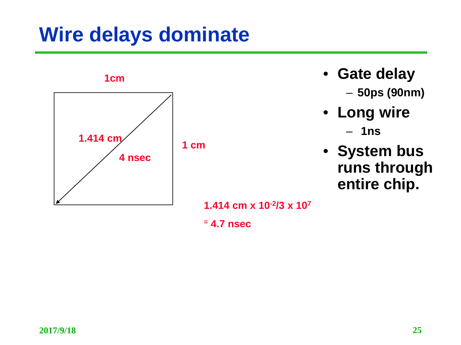### **Wire delays dominate**



- **Gate delay** – **50ps (90nm)**
- **Long wire** – **1ns**
- **System bus runs through entire chip.**

**1.414 cm x 10-2/3 x 107**

**<sup>=</sup> 4.7 nsec**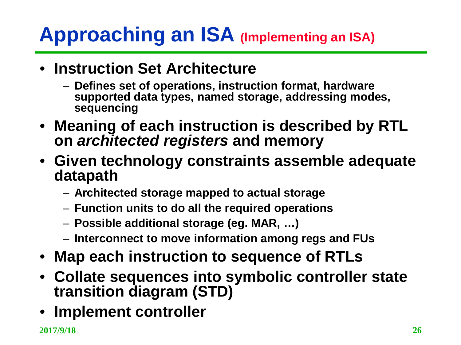## **Approaching an ISA (Implementing an ISA)**

- **Instruction Set Architecture**
	- **Defines set of operations, instruction format, hardware supported data types, named storage, addressing modes, sequencing**
- **Meaning of each instruction is described by RTL on** *architected registers* **and memory**
- **Given technology constraints assemble adequate datapath**
	- **Architected storage mapped to actual storage**
	- **Function units to do all the required operations**
	- **Possible additional storage (eg. MAR, …)**
	- **Interconnect to move information among regs and FUs**
- **Map each instruction to sequence of RTLs**
- **Collate sequences into symbolic controller state transition diagram (STD)**
- **Implement controller**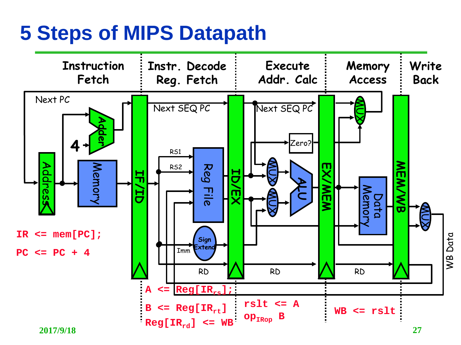#### **5 Steps of MIPS Datapath**

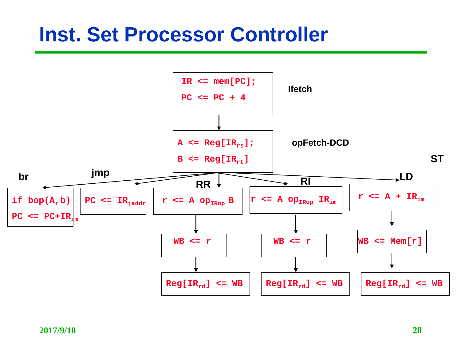#### **Inst. Set Processor Controller**

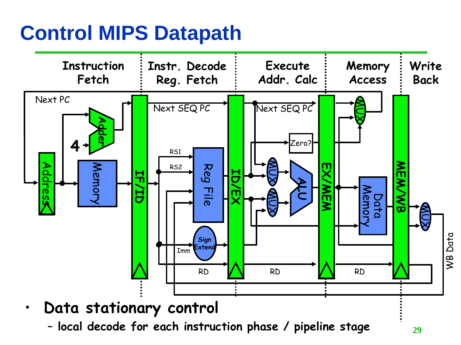### **Control MIPS Datapath**



**2017/9/18 29** – **local decode for each instruction phase / pipeline stage**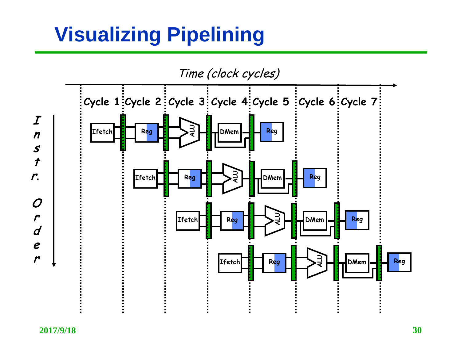## **Visualizing Pipelining**

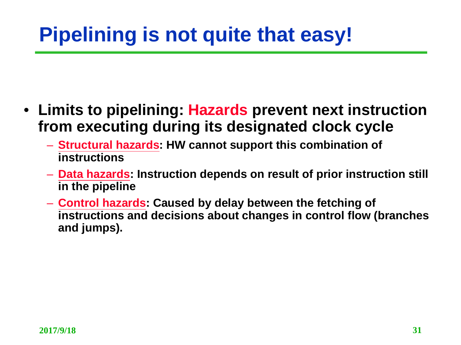## **Pipelining is not quite that easy!**

- **Limits to pipelining: Hazards prevent next instruction from executing during its designated clock cycle**
	- **Structural hazards: HW cannot support this combination of instructions**
	- **Data hazards: Instruction depends on result of prior instruction still in the pipeline**
	- **Control hazards: Caused by delay between the fetching of instructions and decisions about changes in control flow (branches and jumps).**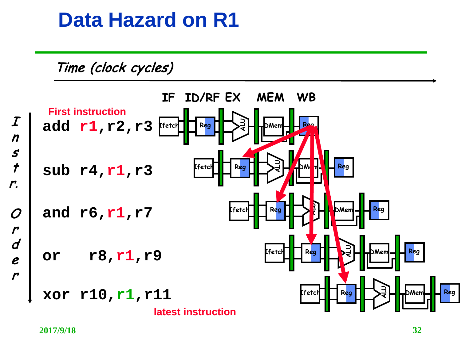#### **Data Hazard on R1**



 $\boldsymbol{I}$ n s  $\overline{t}$ r.  $\boldsymbol{O}$ r d e r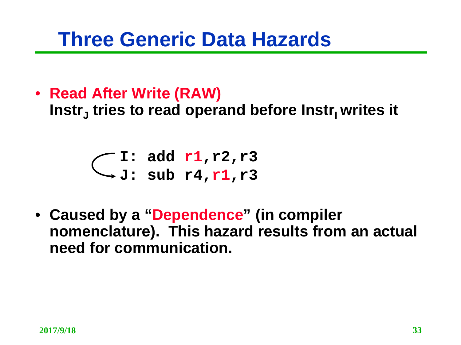#### **Three Generic Data Hazards**

• **Read After Write (RAW)**

Instr<sub>i</sub> tries to read operand before Instr<sub>i</sub> writes it

$$
\bigcirc
$$
 I: add r1,r2,r3  

$$
\bigcirc
$$
J: sub r4,r1,r3

• **Caused by a "Dependence" (in compiler nomenclature). This hazard results from an actual need for communication.**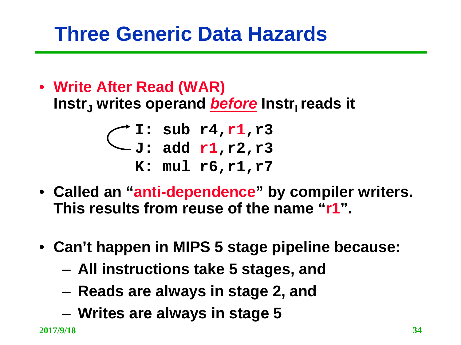## **Three Generic Data Hazards**

• **Write After Read (WAR) Instr<sub>I</sub>** writes operand *before* lnstr<sub>I</sub> reads it

$$
\begin{array}{c} \bigcirc \text{I: sub r4,r1,r3} \\ \text{J: add r1,r2,r3} \\ \text{K: mul r6,r1,r7} \end{array}
$$

- **Called an "anti-dependence" by compiler writers. This results from reuse of the name "r1".**
- **Can't happen in MIPS 5 stage pipeline because:**
	- **All instructions take 5 stages, and**
	- **Reads are always in stage 2, and**
	- **Writes are always in stage 5**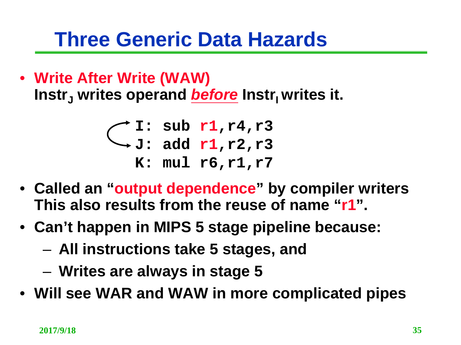#### **Three Generic Data Hazards**

• **Write After Write (WAW)** Instr<sub>1</sub> writes operand *before* Instr<sub>1</sub> writes it.

> **I: sub r1,r4,r3 J: add r1,r2,r3 K: mul r6,r1,r7**

- **Called an "output dependence" by compiler writers This also results from the reuse of name "r1".**
- **Can't happen in MIPS 5 stage pipeline because:** 
	- **All instructions take 5 stages, and**
	- **Writes are always in stage 5**
- **Will see WAR and WAW in more complicated pipes**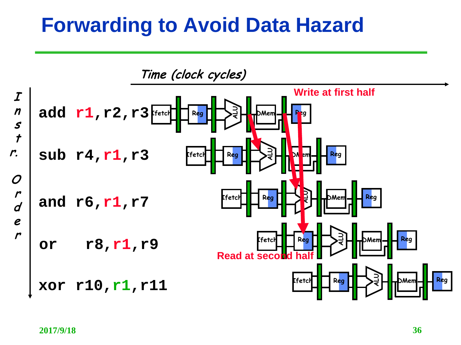#### **Forwarding to Avoid Data Hazard**

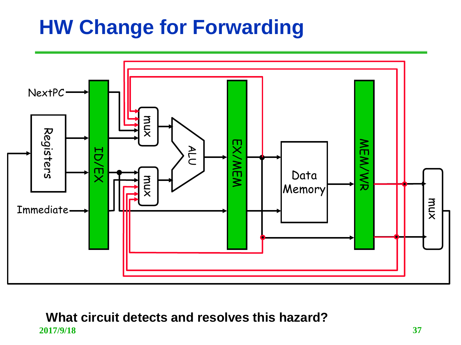### **HW Change for Forwarding**



#### **2017/9/18 37 What circuit detects and resolves this hazard?**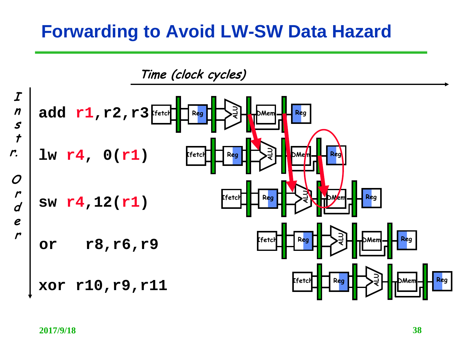#### **Forwarding to Avoid LW-SW Data Hazard**

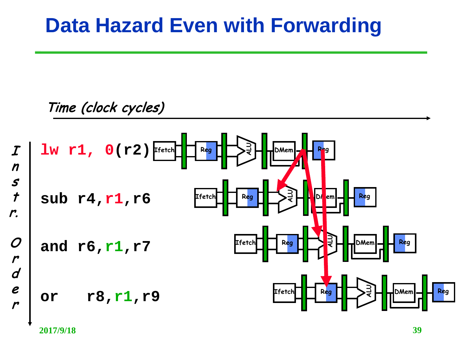#### **Data Hazard Even with Forwarding**

#### Time (clock cycles)



**2017/9/18 39**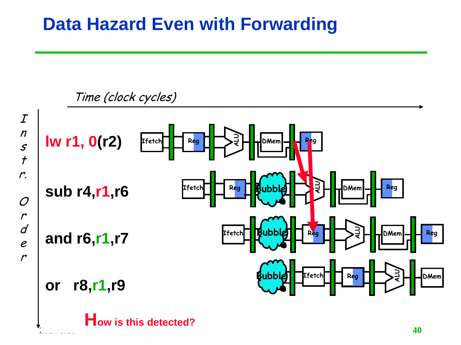#### **Data Hazard Even with Forwarding**

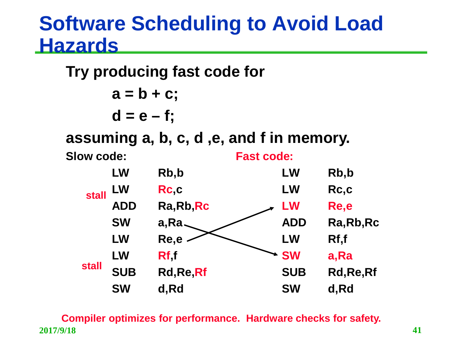#### **Software Scheduling to Avoid Load Hazards**

**Try producing fast code for a = b + c;**  $d = e - f$ ; **assuming a, b, c, d ,e, and f in memory. Slow code: LW Rb,b LW Rc,c ADD Ra,Rb,Rc SW a,Ra LW Re,e LW Rf,f SUB Rd,Re,Rf SW d,Rd Fast code: LW Rb,b LW Rc,c LW Re,e ADD Ra,Rb,Rc LW Rf,f SW a,Ra SUB Rd,Re,Rf SW d,Rd stall stall**

**2017/9/18 41 Compiler optimizes for performance. Hardware checks for safety.**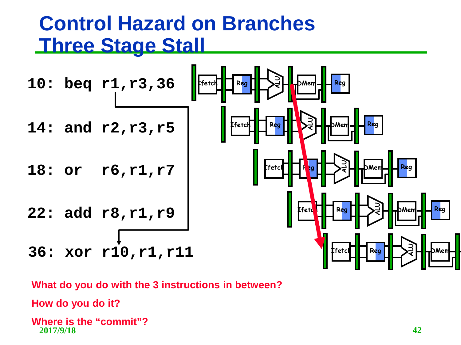#### **Control Hazard on Branches Three Stage Stall**

![](_page_41_Figure_1.jpeg)

**What do you do with the 3 instructions in between?**

**How do you do it?**

**2017/9/18 42 Where is the "commit"?**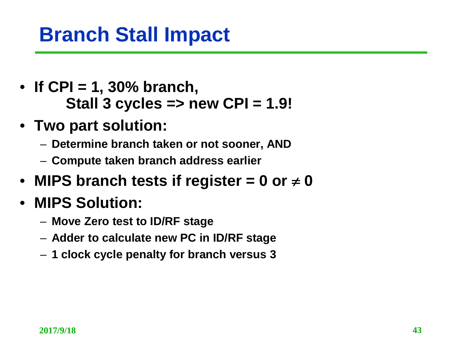## **Branch Stall Impact**

- **If CPI = 1, 30% branch, Stall 3 cycles => new CPI = 1.9!**
- **Two part solution:**
	- **Determine branch taken or not sooner, AND**
	- **Compute taken branch address earlier**
- MIPS branch tests if register  $= 0$  or  $\neq 0$
- **MIPS Solution:**
	- **Move Zero test to ID/RF stage**
	- **Adder to calculate new PC in ID/RF stage**
	- **1 clock cycle penalty for branch versus 3**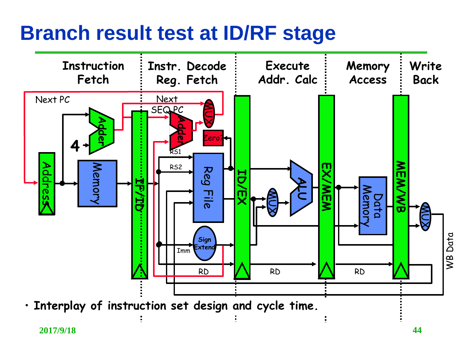#### **Branch result test at ID/RF stage**

![](_page_43_Figure_1.jpeg)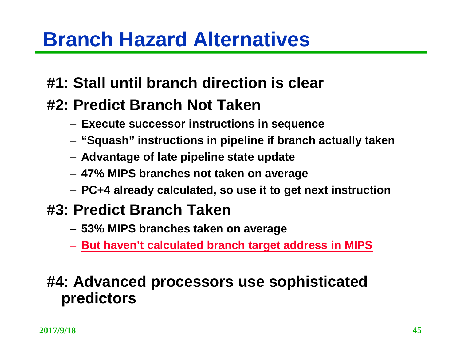### **Branch Hazard Alternatives**

#### **#1: Stall until branch direction is clear**

#### **#2: Predict Branch Not Taken**

- **Execute successor instructions in sequence**
- **"Squash" instructions in pipeline if branch actually taken**
- **Advantage of late pipeline state update**
- **47% MIPS branches not taken on average**
- **PC+4 already calculated, so use it to get next instruction**

#### **#3: Predict Branch Taken**

- **53% MIPS branches taken on average**
- **But haven't calculated branch target address in MIPS**

#### **#4: Advanced processors use sophisticated predictors**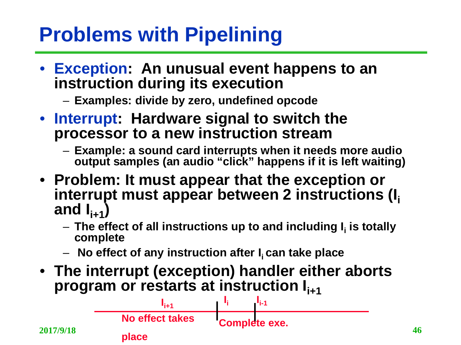## **Problems with Pipelining**

- **Exception: An unusual event happens to an instruction during its execution** 
	- **Examples: divide by zero, undefined opcode**
- **Interrupt: Hardware signal to switch the processor to a new instruction stream** 
	- **Example: a sound card interrupts when it needs more audio output samples (an audio "click" happens if it is left waiting)**
- **Problem: It must appear that the exception or**  interrupt must appear between 2 instructions (I<sub>i</sub> and  $I_{i+1}$ 
	- $-$  The effect of all instructions up to and including I<sub>i</sub> is totally **complete**
	- $-$  No effect of any instruction after I<sub>i</sub> can take place
- **The interrupt (exception) handler either aborts program or restarts at instruction I<sub>i+1</sub>**

![](_page_45_Figure_9.jpeg)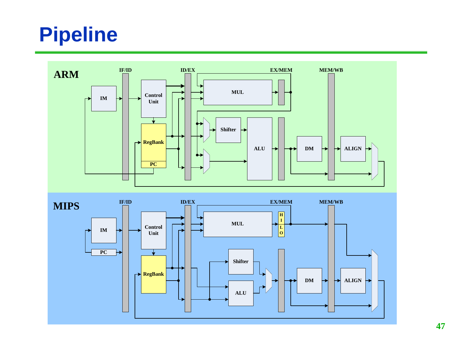## **Pipeline**

![](_page_46_Figure_1.jpeg)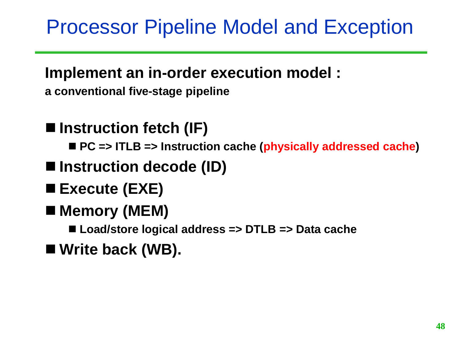### Processor Pipeline Model and Exception

#### **Implement an in-order execution model :**

- **a conventional five-stage pipeline**
- **Instruction fetch (IF) PC => ITLB => Instruction cache (physically addressed cache)**
- Instruction decode (ID)
- **Execute (EXE)**
- Memory (MEM)
	- Load/store logical address => DTLB => Data cache
- Write back (WB).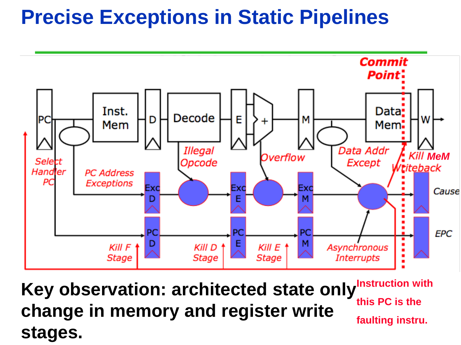### **Precise Exceptions in Static Pipelines**

![](_page_48_Figure_1.jpeg)

Key observation: architected state only<sup>Instruction with</sup> **change in memory and register write stages. this PC is the faulting instru.**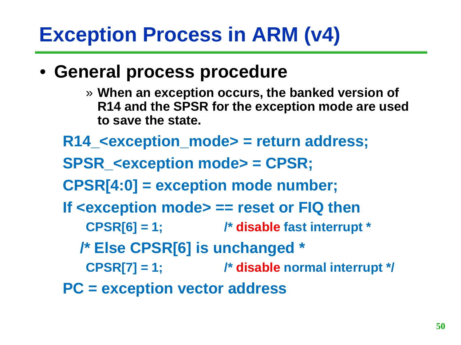- **General process procedure**
	- » **When an exception occurs, the banked version of R14 and the SPSR for the exception mode are used to save the state.**
	- **R14\_<exception\_mode> = return address;**
	- **SPSR\_<exception mode> = CPSR;**
	- **CPSR[4:0] = exception mode number;**
	- **If <exception mode> == reset or FIQ then**
		- **CPSR[6] = 1; /\* disable fast interrupt \***
		- **/\* Else CPSR[6] is unchanged \***
		- **CPSR[7] = 1; /\* disable normal interrupt \*/**
	- **PC = exception vector address**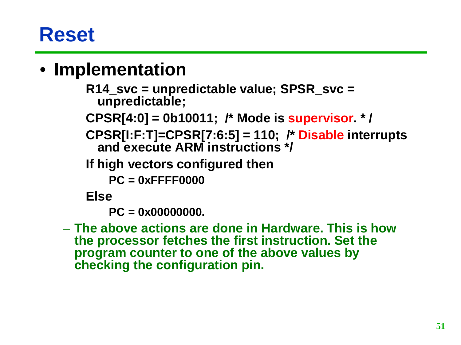### **Reset**

#### • **Implementation**

**R14\_svc = unpredictable value; SPSR\_svc = unpredictable;**

**CPSR[4:0] = 0b10011; /\* Mode is supervisor. \* /**

**CPSR[I:F:T]=CPSR[7:6:5] = 110; /\* Disable interrupts and execute ARM instructions \*/**

**If high vectors configured then** 

**PC = 0xFFFF0000**

**Else**

**PC = 0x00000000.**

– **The above actions are done in Hardware. This is how the processor fetches the first instruction. Set the program counter to one of the above values by checking the configuration pin.**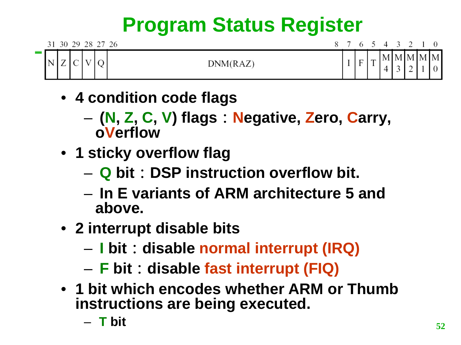# **Program Status Register**

|  |                |  | 31 30 29 28 27 26 |  |  | 8 7 6 5 4 3 2 1 0     |  |             |
|--|----------------|--|-------------------|--|--|-----------------------|--|-------------|
|  | $\overline{L}$ |  | DNM(RAZ)          |  |  | $\tilde{\phantom{a}}$ |  | $M$ M M M M |

- **4 condition code flags**
	- **(N, Z, C, V) flags:Negative, Zero, Carry, oVerflow**
- **1 sticky overflow flag**
	- **Q bit:DSP instruction overflow bit.**
	- **In E variants of ARM architecture 5 and above.**
- **2 interrupt disable bits**
	- **I bit:disable normal interrupt (IRQ)**
	- **F bit:disable fast interrupt (FIQ)**
- **1 bit which encodes whether ARM or Thumb instructions are being executed.**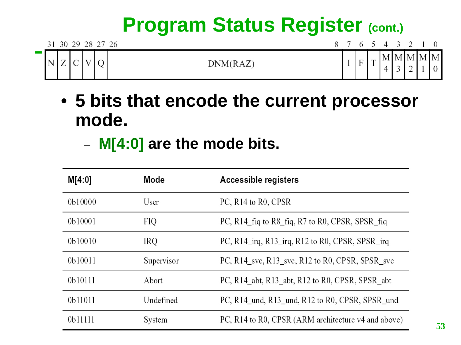## **Program Status Register (cont.)**

|                 |             |                                            |  | 31 30 29 28 27 26 |  |              |                                          | 8 7 6 5 4 3 2 1 0 |  |  |
|-----------------|-------------|--------------------------------------------|--|-------------------|--|--------------|------------------------------------------|-------------------|--|--|
| <b>Contract</b> | $\mathbf N$ | $\overline{\phantom{0}}$<br>$\overline{L}$ |  | DNM(RAZ)          |  | $\mathbf{F}$ | $\mathbf{\mathbf{\mathsf{\mathsf{m}}} }$ | $M$ M M M M       |  |  |

- **5 bits that encode the current processor mode.**
	- **M[4:0] are the mode bits.**

| M[4:0]  | Mode       | Accessible registers                                |
|---------|------------|-----------------------------------------------------|
| 0b10000 | User       | PC, R <sub>14</sub> to R <sub>0</sub> , CPSR        |
| 0b10001 | FIQ        | PC, R14_fiq to R8_fiq, R7 to R0, CPSR, SPSR_fiq     |
| 0b10010 | IRQ        | PC, R14_irq, R13_irq, R12 to R0, CPSR, SPSR_irq     |
| 0b10011 | Supervisor | PC, R14 svc, R13 svc, R12 to R0, CPSR, SPSR svc     |
| 0b10111 | Abort      | PC, R14_abt, R13_abt, R12 to R0, CPSR, SPSR_abt     |
| 0b11011 | Undefined  | PC, R14 und, R13 und, R12 to R0, CPSR, SPSR und     |
| 0b11111 | System     | PC, R14 to R0, CPSR (ARM architecture v4 and above) |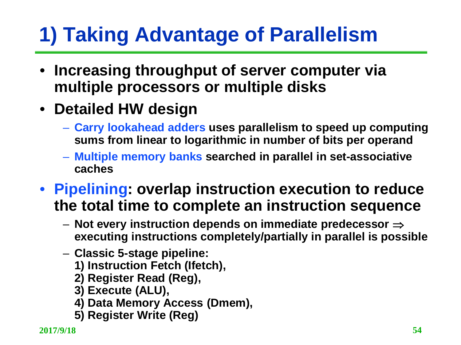# **1) Taking Advantage of Parallelism**

- **Increasing throughput of server computer via multiple processors or multiple disks**
- **Detailed HW design**
	- **Carry lookahead adders uses parallelism to speed up computing sums from linear to logarithmic in number of bits per operand**
	- **Multiple memory banks searched in parallel in set-associative caches**
- **Pipelining: overlap instruction execution to reduce the total time to complete an instruction sequence**
	- **Not every instruction depends on immediate predecessor** ⇒ **executing instructions completely/partially in parallel is possible**
	- **Classic 5-stage pipeline:** 
		- **1) Instruction Fetch (Ifetch),**
		- **2) Register Read (Reg),**
		- **3) Execute (ALU),**
		- **4) Data Memory Access (Dmem),**
		- **5) Register Write (Reg)**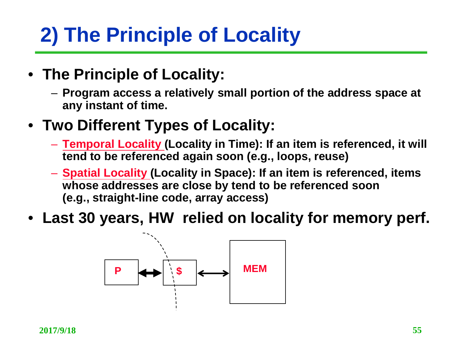# **2) The Principle of Locality**

- **The Principle of Locality:**
	- **Program access a relatively small portion of the address space at any instant of time.**
- **Two Different Types of Locality:**
	- **Temporal Locality (Locality in Time): If an item is referenced, it will tend to be referenced again soon (e.g., loops, reuse)**
	- **Spatial Locality (Locality in Space): If an item is referenced, items whose addresses are close by tend to be referenced soon (e.g., straight-line code, array access)**
- **Last 30 years, HW relied on locality for memory perf.**

![](_page_54_Figure_7.jpeg)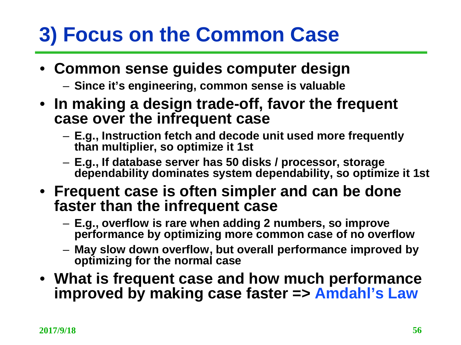# **3) Focus on the Common Case**

#### • **Common sense guides computer design**

- **Since it's engineering, common sense is valuable**
- **In making a design trade-off, favor the frequent case over the infrequent case**
	- **E.g., Instruction fetch and decode unit used more frequently than multiplier, so optimize it 1st**
	- **E.g., If database server has 50 disks / processor, storage dependability dominates system dependability, so optimize it 1st**
- **Frequent case is often simpler and can be done faster than the infrequent case**
	- **E.g., overflow is rare when adding 2 numbers, so improve performance by optimizing more common case of no overflow**
	- **May slow down overflow, but overall performance improved by optimizing for the normal case**
- **What is frequent case and how much performance improved by making case faster => Amdahl's Law**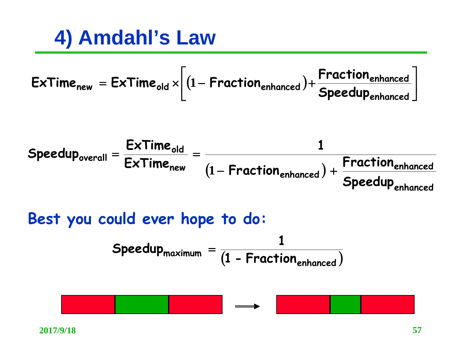**4) Amdahl's Law**

$$
Extimenew = Extimeold \times \left[ (1 - Fractionenhanced) + \frac{Fractionenhanced}{Speedupenhanced} \right]
$$

$$
Speedup_{overall} = \frac{ExTime_{old}}{ExTime_{new}} = \frac{1}{(1 - Fraction_{enhanced}) + \frac{Fraction_{enhanced}}{Speedup_{enhanced}}}
$$

Best you could ever hope to do:

\nSpeedup<sub>maximum</sub> = 
$$
\frac{1}{(1 - \text{Fraction}_{enhanced})}
$$

![](_page_56_Picture_4.jpeg)

-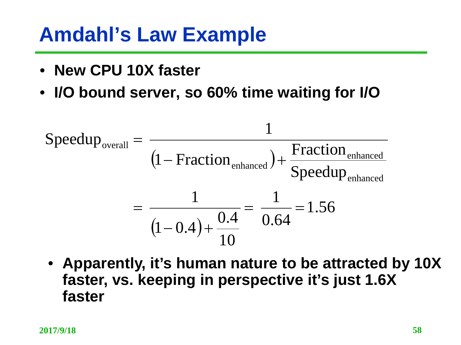## **Amdahl's Law Example**

- **New CPU 10X faster**
- **I/O bound server, so 60% time waiting for I/O**

$$
Speedupoverall = \frac{1}{(1 - Fractionenhanced) + \frac{Fractionenhanced}{Speedupenhanced}}
$$

$$
= \frac{1}{(1 - 0.4) + \frac{0.4}{10}} = \frac{1}{0.64} = 1.56
$$

• **Apparently, it's human nature to be attracted by 10X faster, vs. keeping in perspective it's just 1.6X faster**